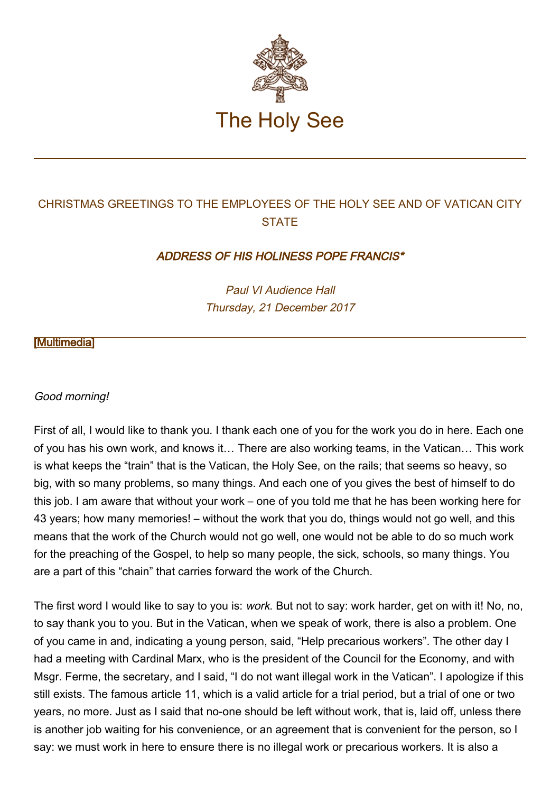

## CHRISTMAS GREETINGS TO THE EMPLOYEES OF THE HOLY SEE AND OF VATICAN CITY **STATE**

## ADDRESS OF HIS HOLINESS POPE FRANCIS\*

Paul VI Audience Hall Thursday, 21 December 2017

## [\[Multimedia](http://w2.vatican.va/content/francesco/en/events/event.dir.html/content/vaticanevents/en/2017/12/21/dipendenti-vaticani.html)]

## Good morning!

First of all, I would like to thank you. I thank each one of you for the work you do in here. Each one of you has his own work, and knows it… There are also working teams, in the Vatican… This work is what keeps the "train" that is the Vatican, the Holy See, on the rails; that seems so heavy, so big, with so many problems, so many things. And each one of you gives the best of himself to do this job. I am aware that without your work – one of you told me that he has been working here for 43 years; how many memories! – without the work that you do, things would not go well, and this means that the work of the Church would not go well, one would not be able to do so much work for the preaching of the Gospel, to help so many people, the sick, schools, so many things. You are a part of this "chain" that carries forward the work of the Church.

The first word I would like to say to you is: work. But not to say: work harder, get on with it! No, no, to say thank you to you. But in the Vatican, when we speak of work, there is also a problem. One of you came in and, indicating a young person, said, "Help precarious workers". The other day I had a meeting with Cardinal Marx, who is the president of the Council for the Economy, and with Msgr. Ferme, the secretary, and I said, "I do not want illegal work in the Vatican". I apologize if this still exists. The famous article 11, which is a valid article for a trial period, but a trial of one or two years, no more. Just as I said that no-one should be left without work, that is, laid off, unless there is another job waiting for his convenience, or an agreement that is convenient for the person, so I say: we must work in here to ensure there is no illegal work or precarious workers. It is also a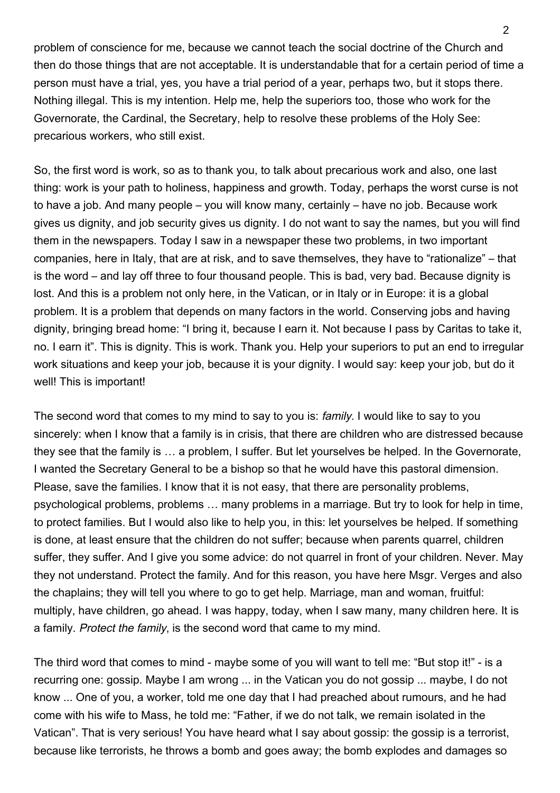problem of conscience for me, because we cannot teach the social doctrine of the Church and then do those things that are not acceptable. It is understandable that for a certain period of time a person must have a trial, yes, you have a trial period of a year, perhaps two, but it stops there. Nothing illegal. This is my intention. Help me, help the superiors too, those who work for the Governorate, the Cardinal, the Secretary, help to resolve these problems of the Holy See: precarious workers, who still exist.

So, the first word is work, so as to thank you, to talk about precarious work and also, one last thing: work is your path to holiness, happiness and growth. Today, perhaps the worst curse is not to have a job. And many people – you will know many, certainly – have no job. Because work gives us dignity, and job security gives us dignity. I do not want to say the names, but you will find them in the newspapers. Today I saw in a newspaper these two problems, in two important companies, here in Italy, that are at risk, and to save themselves, they have to "rationalize" – that is the word – and lay off three to four thousand people. This is bad, very bad. Because dignity is lost. And this is a problem not only here, in the Vatican, or in Italy or in Europe: it is a global problem. It is a problem that depends on many factors in the world. Conserving jobs and having dignity, bringing bread home: "I bring it, because I earn it. Not because I pass by Caritas to take it, no. I earn it". This is dignity. This is work. Thank you. Help your superiors to put an end to irregular work situations and keep your job, because it is your dignity. I would say: keep your job, but do it well! This is important!

The second word that comes to my mind to say to you is: *family*. I would like to say to you sincerely: when I know that a family is in crisis, that there are children who are distressed because they see that the family is … a problem, I suffer. But let yourselves be helped. In the Governorate, I wanted the Secretary General to be a bishop so that he would have this pastoral dimension. Please, save the families. I know that it is not easy, that there are personality problems, psychological problems, problems … many problems in a marriage. But try to look for help in time, to protect families. But I would also like to help you, in this: let yourselves be helped. If something is done, at least ensure that the children do not suffer; because when parents quarrel, children suffer, they suffer. And I give you some advice: do not quarrel in front of your children. Never. May they not understand. Protect the family. And for this reason, you have here Msgr. Verges and also the chaplains; they will tell you where to go to get help. Marriage, man and woman, fruitful: multiply, have children, go ahead. I was happy, today, when I saw many, many children here. It is a family. Protect the family, is the second word that came to my mind.

The third word that comes to mind - maybe some of you will want to tell me: "But stop it!" - is a recurring one: gossip. Maybe I am wrong ... in the Vatican you do not gossip ... maybe, I do not know ... One of you, a worker, told me one day that I had preached about rumours, and he had come with his wife to Mass, he told me: "Father, if we do not talk, we remain isolated in the Vatican". That is very serious! You have heard what I say about gossip: the gossip is a terrorist, because like terrorists, he throws a bomb and goes away; the bomb explodes and damages so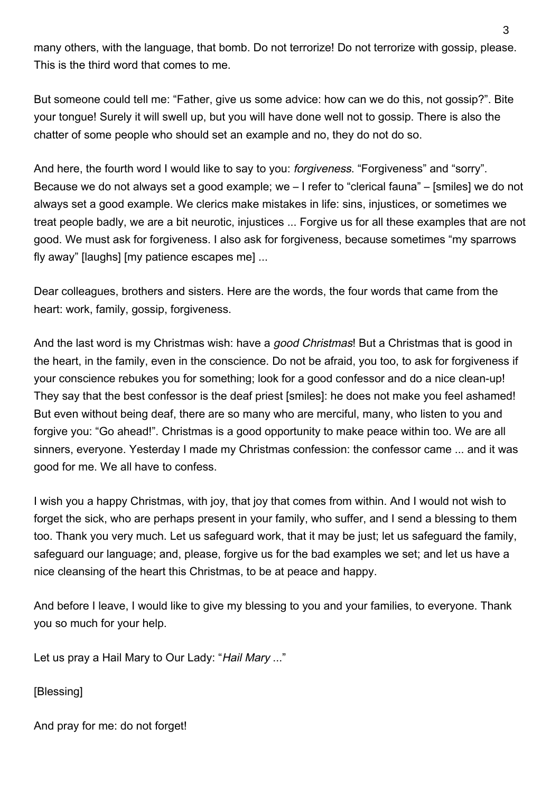many others, with the language, that bomb. Do not terrorize! Do not terrorize with gossip, please. This is the third word that comes to me.

But someone could tell me: "Father, give us some advice: how can we do this, not gossip?". Bite your tongue! Surely it will swell up, but you will have done well not to gossip. There is also the chatter of some people who should set an example and no, they do not do so.

And here, the fourth word I would like to say to you: *forgiveness*. "Forgiveness" and "sorry". Because we do not always set a good example; we – I refer to "clerical fauna" – [smiles] we do not always set a good example. We clerics make mistakes in life: sins, injustices, or sometimes we treat people badly, we are a bit neurotic, injustices ... Forgive us for all these examples that are not good. We must ask for forgiveness. I also ask for forgiveness, because sometimes "my sparrows fly away" [laughs] [my patience escapes me] ...

Dear colleagues, brothers and sisters. Here are the words, the four words that came from the heart: work, family, gossip, forgiveness.

And the last word is my Christmas wish: have a good Christmas! But a Christmas that is good in the heart, in the family, even in the conscience. Do not be afraid, you too, to ask for forgiveness if your conscience rebukes you for something; look for a good confessor and do a nice clean-up! They say that the best confessor is the deaf priest [smiles]: he does not make you feel ashamed! But even without being deaf, there are so many who are merciful, many, who listen to you and forgive you: "Go ahead!". Christmas is a good opportunity to make peace within too. We are all sinners, everyone. Yesterday I made my Christmas confession: the confessor came ... and it was good for me. We all have to confess.

I wish you a happy Christmas, with joy, that joy that comes from within. And I would not wish to forget the sick, who are perhaps present in your family, who suffer, and I send a blessing to them too. Thank you very much. Let us safeguard work, that it may be just; let us safeguard the family, safeguard our language; and, please, forgive us for the bad examples we set; and let us have a nice cleansing of the heart this Christmas, to be at peace and happy.

And before I leave, I would like to give my blessing to you and your families, to everyone. Thank you so much for your help.

Let us pray a Hail Mary to Our Lady: "Hail Mary ..."

[Blessing]

And pray for me: do not forget!